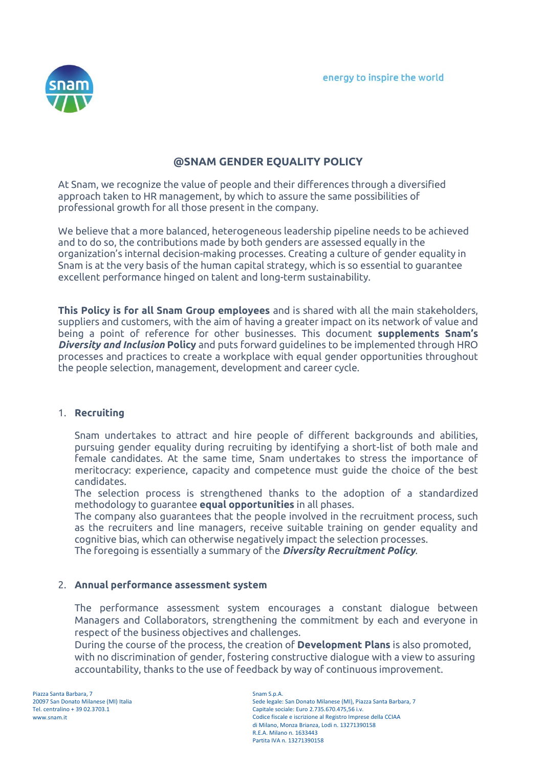

# **@SNAM GENDER EQUALITY POLICY**

At Snam, we recognize the value of people and their differences through a diversified approach taken to HR management, by which to assure the same possibilities of professional growth for all those present in the company.

We believe that a more balanced, heterogeneous leadership pipeline needs to be achieved and to do so, the contributions made by both genders are assessed equally in the organization's internal decision-making processes. Creating a culture of gender equality in Snam is at the very basis of the human capital strategy, which is so essential to guarantee excellent performance hinged on talent and long-term sustainability.

**This Policy is for all Snam Group employees** and is shared with all the main stakeholders, suppliers and customers, with the aim of having a greater impact on its network of value and being a point of reference for other businesses. This document **supplements Snam's**  *Diversity and Inclusion* **Policy** and puts forward guidelines to be implemented through HRO processes and practices to create a workplace with equal gender opportunities throughout the people selection, management, development and career cycle.

#### 1. **Recruiting**

Snam undertakes to attract and hire people of different backgrounds and abilities, pursuing gender equality during recruiting by identifying a short-list of both male and female candidates. At the same time, Snam undertakes to stress the importance of meritocracy: experience, capacity and competence must guide the choice of the best candidates.

The selection process is strengthened thanks to the adoption of a standardized methodology to guarantee **equal opportunities** in all phases.

The company also guarantees that the people involved in the recruitment process, such as the recruiters and line managers, receive suitable training on gender equality and cognitive bias, which can otherwise negatively impact the selection processes.

The foregoing is essentially a summary of the *Diversity Recruitment Policy*.

# 2. **Annual performance assessment system**

The performance assessment system encourages a constant dialogue between Managers and Collaborators, strengthening the commitment by each and everyone in respect of the business objectives and challenges.

During the course of the process, the creation of **Development Plans** is also promoted, with no discrimination of gender, fostering constructive dialogue with a view to assuring accountability, thanks to the use of feedback by way of continuous improvement.

Piazza Santa Barbara, 7 20097 San Donato Milanese (MI) Italia Tel. centralino + 39 02.3703.1 www.snam.it

Snam S.p.A. Sede legale: San Donato Milanese (MI), Piazza Santa Barbara, 7 Capitale sociale: Euro 2.735.670.475,56 i.v. Codice fiscale e iscrizione al Registro Imprese della CCIAA di Milano, Monza Brianza, Lodi n. 13271390158 R.E.A. Milano n. 1633443 Partita IVA n. 13271390158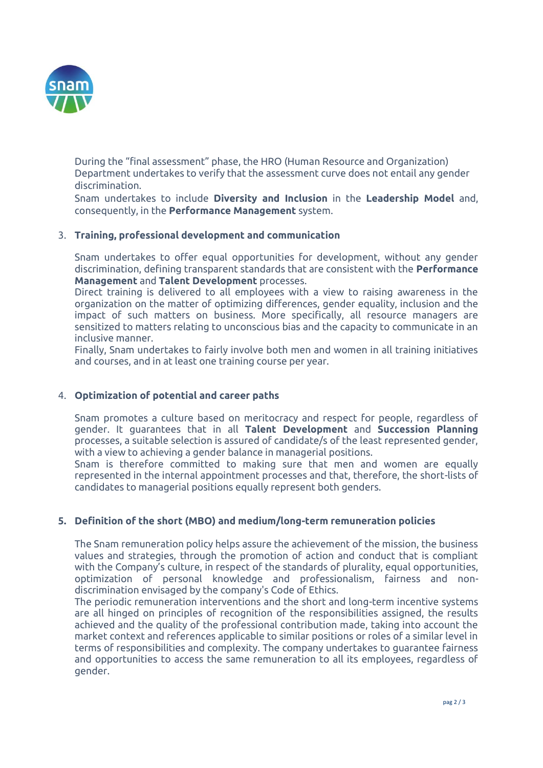

During the "final assessment" phase, the HRO (Human Resource and Organization) Department undertakes to verify that the assessment curve does not entail any gender discrimination.

Snam undertakes to include **Diversity and Inclusion** in the **Leadership Model** and, consequently, in the **Performance Management** system.

# 3. **Training, professional development and communication**

Snam undertakes to offer equal opportunities for development, without any gender discrimination, defining transparent standards that are consistent with the **Performance Management** and **Talent Development** processes.

Direct training is delivered to all employees with a view to raising awareness in the organization on the matter of optimizing differences, gender equality, inclusion and the impact of such matters on business. More specifically, all resource managers are sensitized to matters relating to unconscious bias and the capacity to communicate in an inclusive manner.

Finally, Snam undertakes to fairly involve both men and women in all training initiatives and courses, and in at least one training course per year.

## 4. **Optimization of potential and career paths**

Snam promotes a culture based on meritocracy and respect for people, regardless of gender. It guarantees that in all **Talent Development** and **Succession Planning** processes, a suitable selection is assured of candidate/s of the least represented gender, with a view to achieving a gender balance in managerial positions.

Snam is therefore committed to making sure that men and women are equally represented in the internal appointment processes and that, therefore, the short-lists of candidates to managerial positions equally represent both genders.

# **5. Definition of the short (MBO) and medium/long-term remuneration policies**

The Snam remuneration policy helps assure the achievement of the mission, the business values and strategies, through the promotion of action and conduct that is compliant with the Company's culture, in respect of the standards of plurality, equal opportunities, optimization of personal knowledge and professionalism, fairness and nondiscrimination envisaged by the company's Code of Ethics.

The periodic remuneration interventions and the short and long-term incentive systems are all hinged on principles of recognition of the responsibilities assigned, the results achieved and the quality of the professional contribution made, taking into account the market context and references applicable to similar positions or roles of a similar level in terms of responsibilities and complexity. The company undertakes to guarantee fairness and opportunities to access the same remuneration to all its employees, regardless of gender.